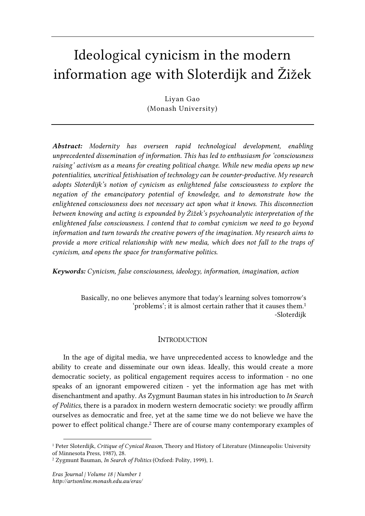# Ideological cynicism in the modern information age with Sloterdijk and Žižek

Liyan Gao (Monash University)

*Abstract: Modernity has overseen rapid technological development, enabling unprecedented dissemination of information. This has led to enthusiasm for 'consciousness raising' activism as a means for creating political change. While new media opens up new potentialities, uncritical fetishisation of technology can be counter-productive. My research adopts Sloterdijk's notion of cynicism as enlightened false consciousness to explore the negation of the emancipatory potential of knowledge, and to demonstrate how the enlightened consciousness does not necessary act upon what it knows. This disconnection between knowing and acting is expounded by Žižek's psychoanalytic interpretation of the enlightened false consciousness. I contend that to combat cynicism we need to go beyond information and turn towards the creative powers of the imagination. My research aims to provide a more critical relationship with new media, which does not fall to the traps of cynicism, and opens the space for transformative politics.* 

*Keywords: Cynicism, false consciousness, ideology, information, imagination, action* 

Basically, no one believes anymore that today's learning solves tomorrow's 'problems'; it is almost certain rather that it causes them.<sup>1</sup> -Sloterdijk

## **INTRODUCTION**

In the age of digital media, we have unprecedented access to knowledge and the ability to create and disseminate our own ideas. Ideally, this would create a more democratic society, as political engagement requires access to information - no one speaks of an ignorant empowered citizen - yet the information age has met with disenchantment and apathy. As Zygmunt Bauman states in his introduction to *In Search of Politics,* there is a paradox in modern western democratic society: we proudly affirm ourselves as democratic and free, yet at the same time we do not believe we have the power to effect political change.<sup>2</sup> There are of course many contemporary examples of

<sup>&</sup>lt;sup>1</sup> Peter Sloterdijk, Critique of Cynical Reason, Theory and History of Literature (Minneapolis: University of Minnesota Press, 1987), 28.

<sup>2</sup> Zygmunt Bauman, *In Search of Politics* (Oxford: Polity, 1999), 1.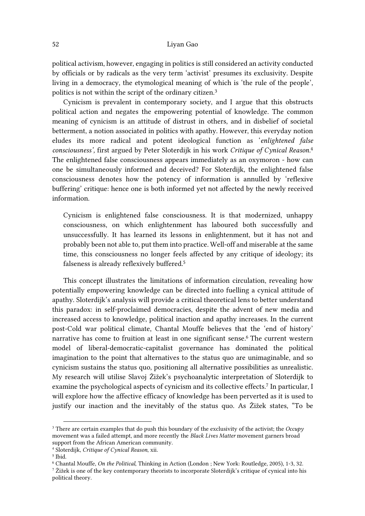political activism, however, engaging in politics is still considered an activity conducted by officials or by radicals as the very term 'activist' presumes its exclusivity. Despite living in a democracy, the etymological meaning of which is 'the rule of the people', politics is not within the script of the ordinary citizen.<sup>3</sup>

Cynicism is prevalent in contemporary society, and I argue that this obstructs political action and negates the empowering potential of knowledge. The common meaning of cynicism is an attitude of distrust in others, and in disbelief of societal betterment, a notion associated in politics with apathy. However, this everyday notion eludes its more radical and potent ideological function as '*enlightened false consciousness',* first argued by Peter Sloterdijk in his work *Critique of Cynical Reason.*<sup>4</sup> The enlightened false consciousness appears immediately as an oxymoron - how can one be simultaneously informed and deceived? For Sloterdijk, the enlightened false consciousness denotes how the potency of information is annulled by 'reflexive buffering' critique: hence one is both informed yet not affected by the newly received information.

Cynicism is enlightened false consciousness. It is that modernized, unhappy consciousness, on which enlightenment has laboured both successfully and unsuccessfully. It has learned its lessons in enlightenment, but it has not and probably been not able to, put them into practice. Well-off and miserable at the same time, this consciousness no longer feels affected by any critique of ideology; its falseness is already reflexively buffered.<sup>5</sup>

This concept illustrates the limitations of information circulation, revealing how potentially empowering knowledge can be directed into fuelling a cynical attitude of apathy. Sloterdijk's analysis will provide a critical theoretical lens to better understand this paradox: in self-proclaimed democracies, despite the advent of new media and increased access to knowledge, political inaction and apathy increases. In the current post-Cold war political climate, Chantal Mouffe believes that the 'end of history' narrative has come to fruition at least in one significant sense.<sup>6</sup> The current western model of liberal-democratic-capitalist governance has dominated the political imagination to the point that alternatives to the status quo are unimaginable, and so cynicism sustains the status quo, positioning all alternative possibilities as unrealistic. My research will utilise Slavoj Žižek's psychoanalytic interpretation of Sloterdijk to examine the psychological aspects of cynicism and its collective effects.<sup>7</sup> In particular, I will explore how the affective efficacy of knowledge has been perverted as it is used to justify our inaction and the inevitably of the status quo. As Žižek states, "To be

<sup>3</sup> There are certain examples that do push this boundary of the exclusivity of the activist; the *Occupy* movement was a failed attempt, and more recently the *Black Lives Matter* movement garners broad support from the African American community.

<sup>4</sup> Sloterdijk, *Critique of Cynical Reason*, xii.

<sup>5</sup> Ibid.

<sup>6</sup> Chantal Mouffe, *On the Political*, Thinking in Action (London ; New York: Routledge, 2005), 1-3, 32.

 $^7$  Žižek is one of the key contemporary theorists to incorporate Sloterdijk's critique of cynical into his political theory.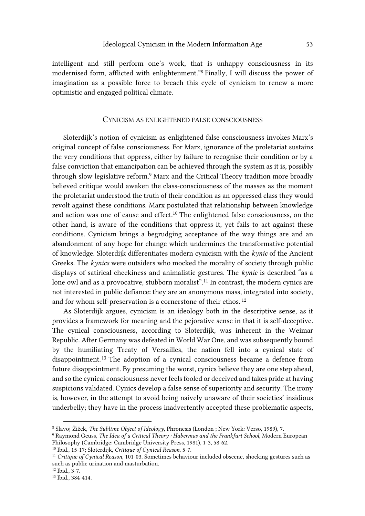intelligent and still perform one's work, that is unhappy consciousness in its modernised form, afflicted with enlightenment."<sup>8</sup> Finally, I will discuss the power of imagination as a possible force to breach this cycle of cynicism to renew a more optimistic and engaged political climate.

# CYNICISM AS ENLIGHTENED FALSE CONSCIOUSNESS

Sloterdijk's notion of cynicism as enlightened false consciousness invokes Marx's original concept of false consciousness. For Marx, ignorance of the proletariat sustains the very conditions that oppress, either by failure to recognise their condition or by a false conviction that emancipation can be achieved through the system as it is, possibly through slow legislative reform.<sup>9</sup> Marx and the Critical Theory tradition more broadly believed critique would awaken the class-consciousness of the masses as the moment the proletariat understood the truth of their condition as an oppressed class they would revolt against these conditions. Marx postulated that relationship between knowledge and action was one of cause and effect.10 The enlightened false consciousness, on the other hand, is aware of the conditions that oppress it, yet fails to act against these conditions. Cynicism brings a begrudging acceptance of the way things are and an abandonment of any hope for change which undermines the transformative potential of knowledge. Sloterdijk differentiates modern cynicism with the *kynic* of the Ancient Greeks. The *kynics* were outsiders who mocked the morality of society through public displays of satirical cheekiness and animalistic gestures. The *kynic* is described "as a lone owl and as a provocative, stubborn moralist".<sup>11</sup> In contrast, the modern cynics are not interested in public defiance: they are an anonymous mass, integrated into society, and for whom self-preservation is a cornerstone of their ethos.<sup>12</sup>

As Sloterdijk argues, cynicism is an ideology both in the descriptive sense, as it provides a framework for meaning and the pejorative sense in that it is self-deceptive. The cynical consciousness, according to Sloterdijk, was inherent in the Weimar Republic. After Germany was defeated in World War One, and was subsequently bound by the humiliating Treaty of Versailles, the nation fell into a cynical state of disappointment.13 The adoption of a cynical consciousness became a defence from future disappointment. By presuming the worst, cynics believe they are one step ahead, and so the cynical consciousness never feels fooled or deceived and takes pride at having suspicions validated. Cynics develop a false sense of superiority and security. The irony is, however, in the attempt to avoid being naively unaware of their societies' insidious underbelly; they have in the process inadvertently accepted these problematic aspects,

<sup>8</sup> Slavoj Žižek, *The Sublime Object of Ideology*, Phronesis (London ; New York: Verso, 1989), 7.

<sup>9</sup> Raymond Geuss, *The Idea of a Critical Theory : Habermas and the Frankfurt School*, Modern European Philosophy (Cambridge: Cambridge University Press, 1981), 1-3, 58-62.

<sup>10</sup> Ibid., 15-17; Sloterdijk, *Critique of Cynical Reason*, 5-7.

<sup>11</sup> *Critique of Cynical Reason*, 101-03. Sometimes behaviour included obscene, shocking gestures such as such as public urination and masturbation.

<sup>12</sup> Ibid., 3-7.

<sup>13</sup> Ibid., 384-414.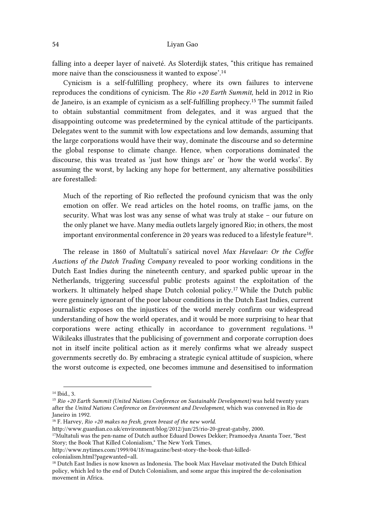falling into a deeper layer of naiveté. As Sloterdijk states, "this critique has remained more naive than the consciousness it wanted to expose'.<sup>14</sup>

Cynicism is a self-fulfilling prophecy, where its own failures to intervene reproduces the conditions of cynicism. The *Rio +20 Earth Summit,* held in 2012 in Rio de Janeiro, is an example of cynicism as a self-fulfilling prophecy.15 The summit failed to obtain substantial commitment from delegates, and it was argued that the disappointing outcome was predetermined by the cynical attitude of the participants. Delegates went to the summit with low expectations and low demands, assuming that the large corporations would have their way, dominate the discourse and so determine the global response to climate change. Hence, when corporations dominated the discourse, this was treated as 'just how things are' or 'how the world works'. By assuming the worst, by lacking any hope for betterment, any alternative possibilities are forestalled:

Much of the reporting of Rio reflected the profound cynicism that was the only emotion on offer. We read articles on the hotel rooms, on traffic jams, on the security. What was lost was any sense of what was truly at stake – our future on the only planet we have. Many media outlets largely ignored Rio; in others, the most important environmental conference in 20 years was reduced to a lifestyle feature<sup>16</sup>.

The release in 1860 of Multatuli's satirical novel *Max Havelaar: Or the Coffee Auctions of the Dutch Trading Company* revealed to poor working conditions in the Dutch East Indies during the nineteenth century, and sparked public uproar in the Netherlands, triggering successful public protests against the exploitation of the workers. It ultimately helped shape Dutch colonial policy.<sup>17</sup> While the Dutch public were genuinely ignorant of the poor labour conditions in the Dutch East Indies, current journalistic exposes on the injustices of the world merely confirm our widespread understanding of how the world operates, and it would be more surprising to hear that corporations were acting ethically in accordance to government regulations. <sup>18</sup> Wikileaks illustrates that the publicising of government and corporate corruption does not in itself incite political action as it merely confirms what we already suspect governments secretly do. By embracing a strategic cynical attitude of suspicion, where the worst outcome is expected, one becomes immune and desensitised to information

 $\overline{a}$ <sup>14</sup> Ibid., 3.

<sup>15</sup> *Rio +20 Earth Summit (United Nations Conference on Sustainable Development)* was held twenty years after the *United Nations Conference on Environment and Development,* which was convened in Rio de Janeiro in 1992*.* 

<sup>16</sup> F. Harvey, *Rio +20 makes no fresh, green breast of the new world.* 

http://www.guardian.co.uk/environment/blog/2012/jun/25/rio-20-great-gatsby, 2000.

<sup>17</sup>Multatuli was the pen-name of Dutch author Eduard Dowes Dekker; Pramoedya Ananta Toer, "Best Story; the Book That Killed Colonialism," The New York Times,

http://www.nytimes.com/1999/04/18/magazine/best-story-the-book-that-killedcolonialism.html?pagewanted=all.

<sup>18</sup> Dutch East Indies is now known as Indonesia. The book Max Havelaar motivated the Dutch Ethical policy, which led to the end of Dutch Colonialism, and some argue this inspired the de-colonisation movement in Africa.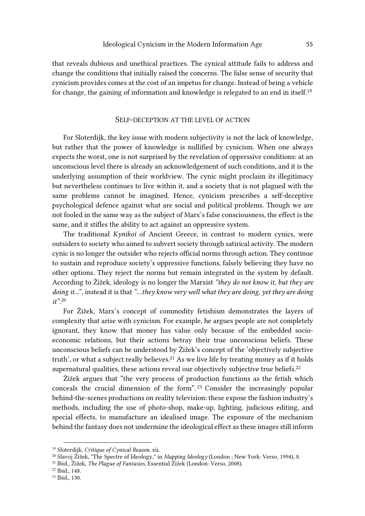that reveals dubious and unethical practices. The cynical attitude fails to address and change the conditions that initially raised the concerns. The false sense of security that cynicism provides comes at the cost of an impetus for change. Instead of being a vehicle for change, the gaining of information and knowledge is relegated to an end in itself.<sup>19</sup>

# SELF-DECEPTION AT THE LEVEL OF ACTION

For Sloterdijk, the key issue with modern subjectivity is not the lack of knowledge, but rather that the power of knowledge is nullified by cynicism. When one always expects the worst, one is not surprised by the revelation of oppressive conditions: at an unconscious level there is already an acknowledgement of such conditions, and it is the underlying assumption of their worldview. The cynic might proclaim its illegitimacy but nevertheless continues to live within it, and a society that is not plagued with the same problems cannot be imagined. Hence, cynicism prescribes a self-deceptive psychological defence against what are social and political problems. Though we are not fooled in the same way as the subject of Marx's false consciousness, the effect is the same, and it stifles the ability to act against an oppressive system.

The traditional *Kynikoi* of Ancient Greece, in contrast to modern cynics, were outsiders to society who aimed to subvert society through satirical activity. The modern cynic is no longer the outsider who rejects official norms through action. They continue to sustain and reproduce society's oppressive functions, falsely believing they have no other options. They reject the norms but remain integrated in the system by default. According to Žižek, ideology is no longer the Marxist *"they do not know it, but they are doing it...*"*,* instead it is that *"…they know very well what they are doing, yet they are doing it".<sup>20</sup>*

For Žižek, Marx's concept of commodity fetishism demonstrates the layers of complexity that arise with cynicism. For example, he argues people are not completely ignorant, they know that money has value only because of the embedded socioeconomic relations, but their actions betray their true unconscious beliefs. These unconscious beliefs can be understood by Žižek's concept of the 'objectively subjective truth', or what a subject really believes.<sup>21</sup> As we live life by treating money as if it holds supernatural qualities, these actions reveal our objectively subjective true beliefs. $^{22}$ 

Žižek argues that "the very process of production functions as the fetish which conceals the crucial dimension of the form". <sup>23</sup> Consider the increasingly popular behind-the-scenes productions on reality television: these expose the fashion industry's methods, including the use of photo-shop, make-up, lighting, judicious editing, and special effects, to manufacture an idealised image. The exposure of the mechanism behind the fantasy does not undermine the ideological effect as these images still inform

<sup>19</sup> Sloterdijk, *Critique of Cynical Reason*, xii.

<sup>20</sup> Slavoj Žižek, "The Spectre of Ideology," in *Mapping Ideology* (London ; New York: Verso, 1994), 8.

<sup>21</sup> Ibid., Žižek, *The Plague of Fantasies*, Essential Žižek (London: Verso, 2008).

<sup>22</sup> Ibid., 148.

<sup>23</sup> Ibid., 130.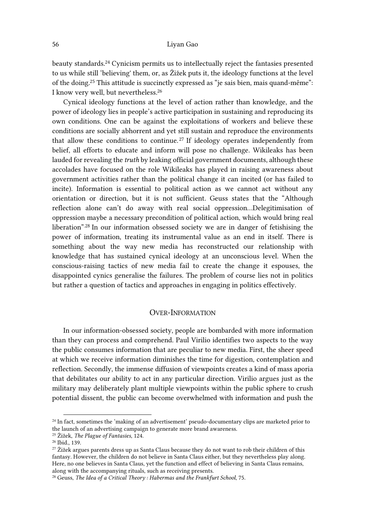beauty standards.24 Cynicism permits us to intellectually reject the fantasies presented to us while still 'believing' them, or, as Žižek puts it, the ideology functions at the level of the doing.<sup>25</sup> This attitude is succinctly expressed as "je sais bien, mais quand-même": I know very well, but nevertheless.<sup>26</sup>

Cynical ideology functions at the level of action rather than knowledge, and the power of ideology lies in people's active participation in sustaining and reproducing its own conditions. One can be against the exploitations of workers and believe these conditions are socially abhorrent and yet still sustain and reproduce the environments that allow these conditions to continue.<sup>27</sup> If ideology operates independently from belief, all efforts to educate and inform will pose no challenge. Wikileaks has been lauded for revealing the *truth* by leaking official government documents, although these accolades have focused on the role Wikileaks has played in raising awareness about government activities rather than the political change it can incited (or has failed to incite). Information is essential to political action as we cannot act without any orientation or direction, but it is not sufficient. Geuss states that the "Although reflection alone can't do away with real social oppression…Delegitimisation of oppression maybe a necessary precondition of political action, which would bring real liberation".28 In our information obsessed society we are in danger of fetishising the power of information, treating its instrumental value as an end in itself. There is something about the way new media has reconstructed our relationship with knowledge that has sustained cynical ideology at an unconscious level. When the conscious-raising tactics of new media fail to create the change it espouses, the disappointed cynics generalise the failures. The problem of course lies not in politics but rather a question of tactics and approaches in engaging in politics effectively.

# OVER-INFORMATION

In our information-obsessed society, people are bombarded with more information than they can process and comprehend. Paul Virilio identifies two aspects to the way the public consumes information that are peculiar to new media. First, the sheer speed at which we receive information diminishes the time for digestion, contemplation and reflection. Secondly, the immense diffusion of viewpoints creates a kind of mass aporia that debilitates our ability to act in any particular direction. Virilio argues just as the military may deliberately plant multiple viewpoints within the public sphere to crush potential dissent, the public can become overwhelmed with information and push the

<sup>&</sup>lt;sup>24</sup> In fact, sometimes the 'making of an advertisement' pseudo-documentary clips are marketed prior to the launch of an advertising campaign to generate more brand awareness.

<sup>25</sup> Žižek, *The Plague of Fantasies*, 124.

<sup>26</sup> Ibid., 139.

 $27$  Žižek argues parents dress up as Santa Claus because they do not want to rob their children of this fantasy. However, the children do not believe in Santa Claus either, but they nevertheless play along. Here, no one believes in Santa Claus, yet the function and effect of believing in Santa Claus remains, along with the accompanying rituals, such as receiving presents.

<sup>28</sup> Geuss, *The Idea of a Critical Theory : Habermas and the Frankfurt School*, 75.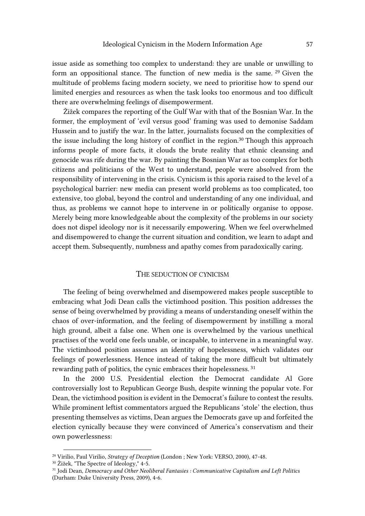issue aside as something too complex to understand: they are unable or unwilling to form an oppositional stance. The function of new media is the same. 29 Given the multitude of problems facing modern society, we need to prioritise how to spend our limited energies and resources as when the task looks too enormous and too difficult there are overwhelming feelings of disempowerment.

Žižek compares the reporting of the Gulf War with that of the Bosnian War. In the former, the employment of 'evil versus good' framing was used to demonise Saddam Hussein and to justify the war. In the latter, journalists focused on the complexities of the issue including the long history of conflict in the region.<sup>30</sup> Though this approach informs people of more facts, it clouds the brute reality that ethnic cleansing and genocide was rife during the war. By painting the Bosnian War as too complex for both citizens and politicians of the West to understand, people were absolved from the responsibility of intervening in the crisis. Cynicism is this aporia raised to the level of a psychological barrier: new media can present world problems as too complicated, too extensive, too global, beyond the control and understanding of any one individual, and thus, as problems we cannot hope to intervene in or politically organise to oppose. Merely being more knowledgeable about the complexity of the problems in our society does not dispel ideology nor is it necessarily empowering. When we feel overwhelmed and disempowered to change the current situation and condition, we learn to adapt and accept them. Subsequently, numbness and apathy comes from paradoxically caring.

## THE SEDUCTION OF CYNICISM

The feeling of being overwhelmed and disempowered makes people susceptible to embracing what Jodi Dean calls the victimhood position. This position addresses the sense of being overwhelmed by providing a means of understanding oneself within the chaos of over-information, and the feeling of disempowerment by instilling a moral high ground, albeit a false one. When one is overwhelmed by the various unethical practises of the world one feels unable, or incapable, to intervene in a meaningful way. The victimhood position assumes an identity of hopelessness, which validates our feelings of powerlessness. Hence instead of taking the more difficult but ultimately rewarding path of politics, the cynic embraces their hopelessness. 31

In the 2000 U.S. Presidential election the Democrat candidate Al Gore controversially lost to Republican George Bush, despite winning the popular vote. For Dean, the victimhood position is evident in the Democrat's failure to contest the results. While prominent leftist commentators argued the Republicans 'stole' the election, thus presenting themselves as victims, Dean argues the Democrats gave up and forfeited the election cynically because they were convinced of America's conservatism and their own powerlessness:

<sup>29</sup> Virilio, Paul Virilio, *Strategy of Deception* (London ; New York: VERSO, 2000), 47-48.

<sup>&</sup>lt;sup>30</sup> Žižek, "The Spectre of Ideology," 4-5.

<sup>31</sup> Jodi Dean, *Democracy and Other Neoliberal Fantasies : Communicative Capitalism and Left Politics* (Durham: Duke University Press, 2009), 4-6.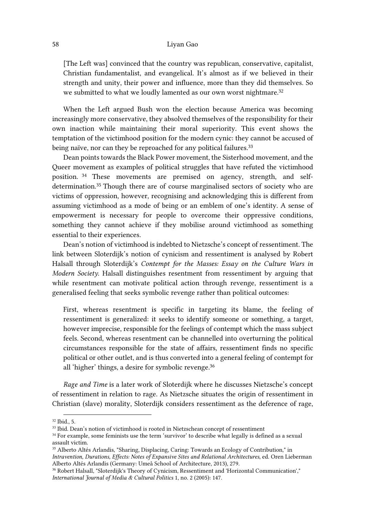[The Left was] convinced that the country was republican, conservative, capitalist, Christian fundamentalist, and evangelical. It's almost as if we believed in their strength and unity, their power and influence, more than they did themselves. So we submitted to what we loudly lamented as our own worst nightmare. $32$ 

When the Left argued Bush won the election because America was becoming increasingly more conservative, they absolved themselves of the responsibility for their own inaction while maintaining their moral superiority. This event shows the temptation of the victimhood position for the modern cynic: they cannot be accused of being naïve, nor can they be reproached for any political failures.<sup>33</sup>

Dean points towards the Black Power movement, the Sisterhood movement, and the Queer movement as examples of political struggles that have refuted the victimhood position. <sup>34</sup> These movements are premised on agency, strength, and selfdetermination.35 Though there are of course marginalised sectors of society who are victims of oppression, however, recognising and acknowledging this is different from assuming victimhood as a mode of being or an emblem of one's identity. A sense of empowerment is necessary for people to overcome their oppressive conditions, something they cannot achieve if they mobilise around victimhood as something essential to their experiences.

Dean's notion of victimhood is indebted to Nietzsche's concept of ressentiment. The link between Sloterdijk's notion of cynicism and ressentiment is analysed by Robert Halsall through Sloterdijk's *Contempt for the Masses: Essay on the Culture Wars in Modern Society*. Halsall distinguishes resentment from ressentiment by arguing that while resentment can motivate political action through revenge, ressentiment is a generalised feeling that seeks symbolic revenge rather than political outcomes:

First, whereas resentment is specific in targeting its blame, the feeling of ressentiment is generalized: it seeks to identify someone or something, a target, however imprecise, responsible for the feelings of contempt which the mass subject feels. Second, whereas resentment can be channelled into overturning the political circumstances responsible for the state of affairs, ressentiment finds no specific political or other outlet, and is thus converted into a general feeling of contempt for all 'higher' things, a desire for symbolic revenge.<sup>36</sup>

*Rage and Time* is a later work of Sloterdijk where he discusses Nietzsche's concept of ressentiment in relation to rage. As Nietzsche situates the origin of ressentiment in Christian (slave) morality, Sloterdijk considers ressentiment as the deference of rage,

 $\overline{a}$ <sup>32</sup> Ibid., 5.

<sup>&</sup>lt;sup>33</sup> Ibid. Dean's notion of victimhood is rooted in Nietzschean concept of ressentiment

<sup>&</sup>lt;sup>34</sup> For example, some feminists use the term 'survivor' to describe what legally is defined as a sexual assault victim.

<sup>35</sup> Alberto Altés Arlandis, "Sharing, Displacing, Caring: Towards an Ecology of Contribution," in *Intravention, Durations, Effects: Notes of Expansive Sites and Relational Architectures*, ed. Oren Lieberman Alberto Altés Arlandis (Germany: Umeå School of Architecture, 2013), 279.

<sup>36</sup> Robert Halsall, "Sloterdijk's Theory of Cynicism, Ressentiment and 'Horizontal Communication'," *International Journal of Media & Cultural Politics* 1, no. 2 (2005): 147.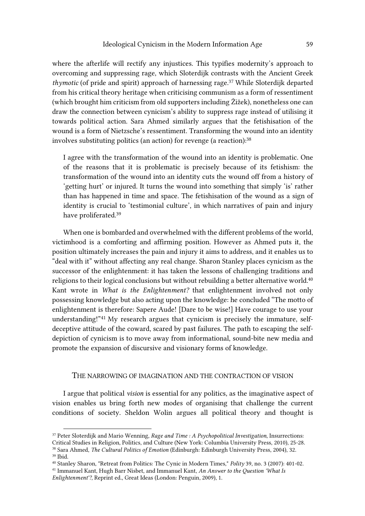where the afterlife will rectify any injustices. This typifies modernity's approach to overcoming and suppressing rage, which Sloterdijk contrasts with the Ancient Greek *thymotic* (of pride and spirit) approach of harnessing rage.<sup>37</sup> While Sloterdijk departed from his critical theory heritage when criticising communism as a form of ressentiment (which brought him criticism from old supporters including Žižek), nonetheless one can draw the connection between cynicism's ability to suppress rage instead of utilising it towards political action. Sara Ahmed similarly argues that the fetishisation of the wound is a form of Nietzsche's ressentiment. Transforming the wound into an identity involves substituting politics (an action) for revenge (a reaction):<sup>38</sup>

I agree with the transformation of the wound into an identity is problematic. One of the reasons that it is problematic is precisely because of its fetishism: the transformation of the wound into an identity cuts the wound off from a history of 'getting hurt' or injured. It turns the wound into something that simply 'is' rather than has happened in time and space. The fetishisation of the wound as a sign of identity is crucial to 'testimonial culture', in which narratives of pain and injury have proliferated.<sup>39</sup>

When one is bombarded and overwhelmed with the different problems of the world, victimhood is a comforting and affirming position. However as Ahmed puts it, the position ultimately increases the pain and injury it aims to address, and it enables us to "deal with it" without affecting any real change. Sharon Stanley places cynicism as the successor of the enlightenment: it has taken the lessons of challenging traditions and religions to their logical conclusions but without rebuilding a better alternative world.<sup>40</sup> Kant wrote in *What is the Enlightenment?* that enlightenment involved not only possessing knowledge but also acting upon the knowledge: he concluded "The motto of enlightenment is therefore: Sapere Aude! [Dare to be wise!] Have courage to use your understanding!"41 My research argues that cynicism is precisely the immature, selfdeceptive attitude of the coward, scared by past failures. The path to escaping the selfdepiction of cynicism is to move away from informational, sound-bite new media and promote the expansion of discursive and visionary forms of knowledge.

# THE NARROWING OF IMAGINATION AND THE CONTRACTION OF VISION

I argue that political *vision* is essential for any politics, as the imaginative aspect of vision enables us bring forth new modes of organising that challenge the current conditions of society. Sheldon Wolin argues all political theory and thought is

<sup>37</sup> Peter Sloterdijk and Mario Wenning, *Rage and Time : A Psychopolitical Investigation*, Insurrections: Critical Studies in Religion, Politics, and Culture (New York: Columbia University Press, 2010), 25-28.

<sup>38</sup> Sara Ahmed, *The Cultural Politics of Emotion* (Edinburgh: Edinburgh University Press, 2004), 32. <sup>39</sup> Ibid.

<sup>40</sup> Stanley Sharon, "Retreat from Politics: The Cynic in Modern Times," *Polity* 39, no. 3 (2007): 401-02.

<sup>41</sup> Immanuel Kant, Hugh Barr Nisbet, and Immanuel Kant, *An Answer to the Question 'What Is Enlightenment'?*, Reprint ed., Great Ideas (London: Penguin, 2009), 1.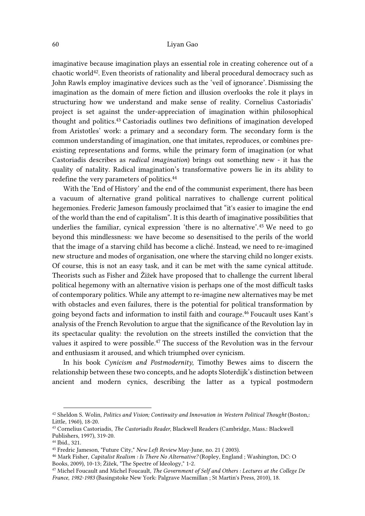imaginative because imagination plays an essential role in creating coherence out of a chaotic world<sup>42</sup>. Even theorists of rationality and liberal procedural democracy such as John Rawls employ imaginative devices such as the 'veil of ignorance'. Dismissing the imagination as the domain of mere fiction and illusion overlooks the role it plays in structuring how we understand and make sense of reality. Cornelius Castoriadis' project is set against the under-appreciation of imagination within philosophical thought and politics.43 Castoriadis outlines two definitions of imagination developed from Aristotles' work: a primary and a secondary form. The secondary form is the common understanding of imagination, one that imitates, reproduces, or combines preexisting representations and forms, while the primary form of imagination (or what Castoriadis describes as *radical imagination*) brings out something new - it has the quality of natality. Radical imagination's transformative powers lie in its ability to redefine the very parameters of politics.<sup>44</sup>

With the 'End of History' and the end of the communist experiment, there has been a vacuum of alternative grand political narratives to challenge current political hegemonies. Frederic Jameson famously proclaimed that "it's easier to imagine the end of the world than the end of capitalism". It is this dearth of imaginative possibilities that underlies the familiar, cynical expression 'there is no alternative'.45 We need to go beyond this mindlessness: we have become so desensitised to the perils of the world that the image of a starving child has become a cliché. Instead, we need to re-imagined new structure and modes of organisation, one where the starving child no longer exists. Of course, this is not an easy task, and it can be met with the same cynical attitude. Theorists such as Fisher and Žižek have proposed that to challenge the current liberal political hegemony with an alternative vision is perhaps one of the most difficult tasks of contemporary politics. While any attempt to re-imagine new alternatives may be met with obstacles and even failures, there is the potential for political transformation by going beyond facts and information to instil faith and courage.<sup>46</sup> Foucault uses Kant's analysis of the French Revolution to argue that the significance of the Revolution lay in its spectacular quality: the revolution on the streets instilled the conviction that the values it aspired to were possible.<sup>47</sup> The success of the Revolution was in the fervour and enthusiasm it aroused, and which triumphed over cynicism.

In his book *Cynicism and Postmodernity*, Timothy Bewes aims to discern the relationship between these two concepts, and he adopts Sloterdijk's distinction between ancient and modern cynics, describing the latter as a typical postmodern

<sup>&</sup>lt;sup>42</sup> Sheldon S. Wolin, *Politics and Vision; Continuity and Innovation in Western Political Thought* (Boston,: Little, 1960), 18-20.

<sup>43</sup> Cornelius Castoriadis, *The Castoriadis Reader*, Blackwell Readers (Cambridge, Mass.: Blackwell Publishers, 1997), 319-20.

<sup>44</sup> Ibid., 321.

<sup>45</sup> Fredric Jameson, "Future City," *New Left Review* May-June, no. 21 ( 2003).

<sup>46</sup> Mark Fisher, *Capitalist Realism : Is There No Alternative?* (Ropley, England ; Washington, DC: O Books, 2009), 10-13; Žižek, "The Spectre of Ideology," 1-2.

<sup>47</sup> Michel Foucault and Michel Foucault, *The Government of Self and Others : Lectures at the College De France, 1982-1983* (Basingstoke New York: Palgrave Macmillan ; St Martin's Press, 2010), 18.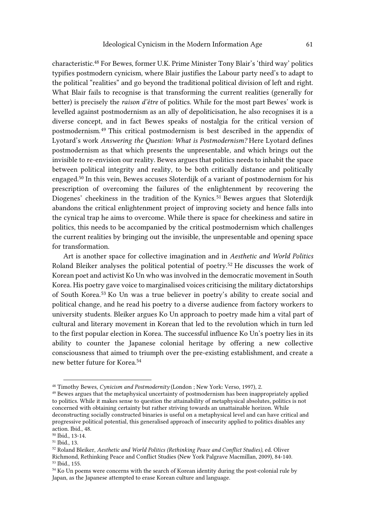characteristic.48 For Bewes, former U.K. Prime Minister Tony Blair's 'third way' politics typifies postmodern cynicism, where Blair justifies the Labour party need's to adapt to the political "realities" and go beyond the traditional political division of left and right. What Blair fails to recognise is that transforming the current realities (generally for better) is precisely the *raison d'être* of politics. While for the most part Bewes' work is levelled against postmodernism as an ally of depoliticisation, he also recognises it is a diverse concept, and in fact Bewes speaks of nostalgia for the critical version of postmodernism.49 This critical postmodernism is best described in the appendix of Lyotard's work *Answering the Question: What is Postmodernism?* Here Lyotard defines postmodernism as that which presents the unpresentable, and which brings out the invisible to re-envision our reality. Bewes argues that politics needs to inhabit the space between political integrity and reality, to be both critically distance and politically engaged.50 In this vein, Bewes accuses Sloterdijk of a variant of postmodernism for his prescription of overcoming the failures of the enlightenment by recovering the Diogenes' cheekiness in the tradition of the Kynics. <sup>51</sup> Bewes argues that Sloterdijk abandons the critical enlightenment project of improving society and hence falls into the cynical trap he aims to overcome. While there is space for cheekiness and satire in politics, this needs to be accompanied by the critical postmodernism which challenges the current realities by bringing out the invisible, the unpresentable and opening space for transformation.

Art is another space for collective imagination and in *Aesthetic and World Politics* Roland Bleiker analyses the political potential of poetry.52 He discusses the work of Korean poet and activist Ko Un who was involved in the democratic movement in South Korea. His poetry gave voice to marginalised voices criticising the military dictatorships of South Korea.53 Ko Un was a true believer in poetry's ability to create social and political change, and he read his poetry to a diverse audience from factory workers to university students. Bleiker argues Ko Un approach to poetry made him a vital part of cultural and literary movement in Korean that led to the revolution which in turn led to the first popular election in Korea. The successful influence Ko Un's poetry lies in its ability to counter the Japanese colonial heritage by offering a new collective consciousness that aimed to triumph over the pre-existing establishment, and create a new better future for Korea.<sup>54</sup>

<sup>48</sup> Timothy Bewes, *Cynicism and Postmodernity* (London ; New York: Verso, 1997), 2.

<sup>49</sup> Bewes argues that the metaphysical uncertainty of postmodernism has been inappropriately applied to politics. While it makes sense to question the attainability of metaphysical absolutes, politics is not concerned with obtaining certainty but rather striving towards an unattainable horizon. While deconstructing socially constructed binaries is useful on a metaphysical level and can have critical and progressive political potential, this generalised approach of insecurity applied to politics disables any action. Ibid., 48.

<sup>50</sup> Ibid., 13-14.

<sup>51</sup> Ibid., 13.

<sup>52</sup> Roland Bleiker, *Aesthetic and World Politics (Rethinking Peace and Conflict Studies)*, ed. Oliver Richmond, Rethinking Peace and Conflict Studies (New York Palgrave Macmillan, 2009), 84-140. <sup>53</sup> Ibid., 155.

<sup>&</sup>lt;sup>54</sup> Ko Un poems were concerns with the search of Korean identity during the post-colonial rule by Japan, as the Japanese attempted to erase Korean culture and language.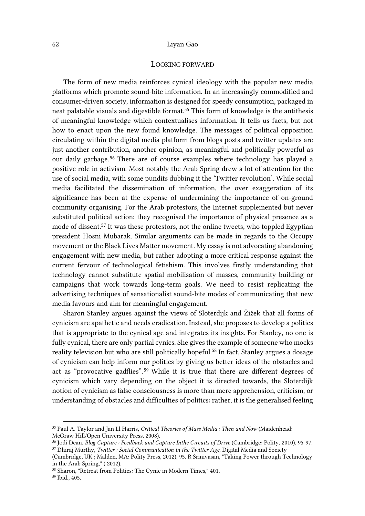# LOOKING FORWARD

The form of new media reinforces cynical ideology with the popular new media platforms which promote sound-bite information. In an increasingly commodified and consumer-driven society, information is designed for speedy consumption, packaged in neat palatable visuals and digestible format.55 This form of knowledge is the antithesis of meaningful knowledge which contextualises information. It tells us facts, but not how to enact upon the new found knowledge. The messages of political opposition circulating within the digital media platform from blogs posts and twitter updates are just another contribution, another opinion, as meaningful and politically powerful as our daily garbage.56 There are of course examples where technology has played a positive role in activism. Most notably the Arab Spring drew a lot of attention for the use of social media, with some pundits dubbing it the 'Twitter revolution'. While social media facilitated the dissemination of information, the over exaggeration of its significance has been at the expense of undermining the importance of on-ground community organising. For the Arab protestors, the Internet supplemented but never substituted political action: they recognised the importance of physical presence as a mode of dissent.<sup>57</sup> It was these protestors, not the online tweets, who toppled Egyptian president Hosni Mubarak. Similar arguments can be made in regards to the Occupy movement or the Black Lives Matter movement. My essay is not advocating abandoning engagement with new media, but rather adopting a more critical response against the current fervour of technological fetishism. This involves firstly understanding that technology cannot substitute spatial mobilisation of masses, community building or campaigns that work towards long-term goals. We need to resist replicating the advertising techniques of sensationalist sound-bite modes of communicating that new media favours and aim for meaningful engagement.

Sharon Stanley argues against the views of Sloterdijk and Žižek that all forms of cynicism are apathetic and needs eradication. Instead, she proposes to develop a politics that is appropriate to the cynical age and integrates its insights. For Stanley, no one is fully cynical, there are only partial cynics. She gives the example of someone who mocks reality television but who are still politically hopeful.<sup>58</sup> In fact, Stanley argues a dosage of cynicism can help inform our politics by giving us better ideas of the obstacles and act as "provocative gadflies".<sup>59</sup> While it is true that there are different degrees of cynicism which vary depending on the object it is directed towards, the Sloterdijk notion of cynicism as false consciousness is more than mere apprehension, criticism, or understanding of obstacles and difficulties of politics: rather, it is the generalised feeling

<sup>55</sup> Paul A. Taylor and Jan Ll Harris, *Critical Theories of Mass Media : Then and Now* (Maidenhead: McGraw Hill/Open University Press, 2008).

<sup>56</sup> Jodi Dean, *Blog Capture : Feedback and Capture Inthe Circuits of Drive* (Cambridge: Polity, 2010), 95-97. <sup>57</sup> Dhiraj Murthy, *Twitter : Social Communication in the Twitter Age*, Digital Media and Society

<sup>(</sup>Cambridge, UK ; Malden, MA: Polity Press, 2012), 95. R Srinivasan, "Taking Power through Technology in the Arab Spring," ( 2012).

<sup>58</sup> Sharon, "Retreat from Politics: The Cynic in Modern Times," 401. <sup>59</sup> Ibid., 405.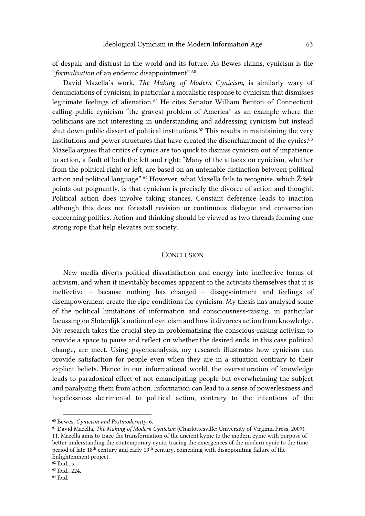of despair and distrust in the world and its future. As Bewes claims, cynicism is the "*formalisation* of an endemic disappointment".<sup>60</sup>

David Mazella's work, *The Making of Modern Cynicism*, is similarly wary of denunciations of cynicism, in particular a moralistic response to cynicism that dismisses legitimate feelings of alienation.61 He cites Senator William Benton of Connecticut calling public cynicism "the gravest problem of America" as an example where the politicians are not interesting in understanding and addressing cynicism but instead shut down public dissent of political institutions.<sup>62</sup> This results in maintaining the very institutions and power structures that have created the disenchantment of the cynics.<sup>63</sup> Mazella argues that critics of cynics are too quick to dismiss cynicism out of impatience to action, a fault of both the left and right: "Many of the attacks on cynicism, whether from the political right or left, are based on an untenable distinction between political action and political language".<sup>64</sup> However, what Mazella fails to recognise, which Žižek points out poignantly, is that cynicism is precisely the divorce of action and thought. Political action does involve taking stances. Constant deference leads to inaction although this does not forestall revision or continuous dialogue and conversation concerning politics. Action and thinking should be viewed as two threads forming one strong rope that help elevates our society.

### **CONCLUSION**

New media diverts political dissatisfaction and energy into ineffective forms of activism, and when it inevitably becomes apparent to the activists themselves that it is ineffective – because nothing has changed – disappointment and feelings of disempowerment create the ripe conditions for cynicism. My thesis has analysed some of the political limitations of information and consciousness-raising, in particular focussing on Sloterdijk's notion of cynicism and how it divorces action from knowledge. My research takes the crucial step in problematising the conscious-raising activism to provide a space to pause and reflect on whether the desired ends, in this case political change, are meet. Using psychoanalysis, my research illustrates how cynicism can provide satisfaction for people even when they are in a situation contrary to their explicit beliefs. Hence in our informational world, the oversaturation of knowledge leads to paradoxical effect of not emancipating people but overwhelming the subject and paralysing them from action. Information can lead to a sense of powerlessness and hopelessness detrimental to political action, contrary to the intentions of the

<sup>60</sup> Bewes, *Cynicism and Postmodernity*, 6.

<sup>61</sup> David Mazella, *The Making of Modern Cynicism* (Charlottesville: University of Virginia Press, 2007), 11. Mazella aims to trace the transformation of the ancient kynic to the modern cynic with purpose of better understanding the contemporary cynic, tracing the emergences of the modern cynic to the time period of late 18th century and early 19th century, coinciding with disappointing failure of the Enlightenment project.

<sup>62</sup> Ibid., 5.

<sup>63</sup> Ibid., 224.

 $^{64}$  Ibid.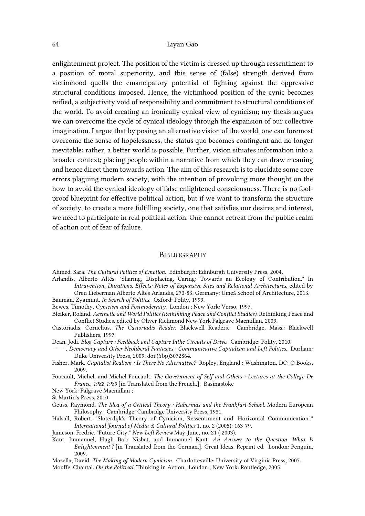enlightenment project. The position of the victim is dressed up through ressentiment to a position of moral superiority, and this sense of (false) strength derived from victimhood quells the emancipatory potential of fighting against the oppressive structural conditions imposed. Hence, the victimhood position of the cynic becomes reified, a subjectivity void of responsibility and commitment to structural conditions of the world. To avoid creating an ironically cynical view of cynicism; my thesis argues we can overcome the cycle of cynical ideology through the expansion of our collective imagination. I argue that by posing an alternative vision of the world, one can foremost overcome the sense of hopelessness, the status quo becomes contingent and no longer inevitable: rather, a better world is possible. Further, vision situates information into a broader context; placing people within a narrative from which they can draw meaning and hence direct them towards action. The aim of this research is to elucidate some core errors plaguing modern society, with the intention of provoking more thought on the how to avoid the cynical ideology of false enlightened consciousness. There is no foolproof blueprint for effective political action, but if we want to transform the structure of society, to create a more fulfilling society, one that satisfies our desires and interest, we need to participate in real political action. One cannot retreat from the public realm of action out of fear of failure.

#### BIBLIOGRAPHY

Ahmed, Sara. *The Cultural Politics of Emotion*. Edinburgh: Edinburgh University Press, 2004.

Arlandis, Alberto Altés. "Sharing, Displacing, Caring: Towards an Ecology of Contribution." In *Intravention, Durations, Effects: Notes of Expansive Sites and Relational Architectures*, edited by Oren Lieberman Alberto Altés Arlandis, 273-83. Germany: Umeå School of Architecture, 2013.

Bauman, Zygmunt. *In Search of Politics*. Oxford: Polity, 1999.

Bewes, Timothy. *Cynicism and Postmodernity*. London ; New York: Verso, 1997.

- Bleiker, Roland. *Aesthetic and World Politics (Rethinking Peace and Conflict Studies)*. Rethinking Peace and Conflict Studies. edited by Oliver Richmond New York Palgrave Macmillan, 2009.
- Castoriadis, Cornelius. *The Castoriadis Reader*. Blackwell Readers. Cambridge, Mass.: Blackwell Publishers, 1997.

Dean, Jodi. *Blog Capture : Feedback and Capture Inthe Circuits of Drive*. Cambridge: Polity, 2010.

- ———. *Democracy and Other Neoliberal Fantasies : Communicative Capitalism and Left Politics*. Durham: Duke University Press, 2009. doi:(Ybp)3072864.
- Fisher, Mark. *Capitalist Realism : Is There No Alternative?* Ropley, England ; Washington, DC: O Books, 2009.
- Foucault, Michel, and Michel Foucault. *The Government of Self and Others : Lectures at the College De France, 1982-1983* [in Translated from the French.]. Basingstoke
- New York: Palgrave Macmillan ;
- St Martin's Press, 2010.
- Geuss, Raymond. *The Idea of a Critical Theory : Habermas and the Frankfurt School*. Modern European Philosophy. Cambridge: Cambridge University Press, 1981.
- Halsall, Robert. "Sloterdijk's Theory of Cynicism, Ressentiment and 'Horizontal Communication'." *International Journal of Media & Cultural Politics* 1, no. 2 (2005): 163-79.

Jameson, Fredric. "Future City." *New Left Review* May-June, no. 21 ( 2003).

- Kant, Immanuel, Hugh Barr Nisbet, and Immanuel Kant. *An Answer to the Question 'What Is Enlightenment'?* [in Translated from the German.]. Great Ideas. Reprint ed. London: Penguin, 2009.
- Mazella, David. *The Making of Modern Cynicism*. Charlottesville: University of Virginia Press, 2007.

Mouffe, Chantal. *On the Political*. Thinking in Action. London ; New York: Routledge, 2005.